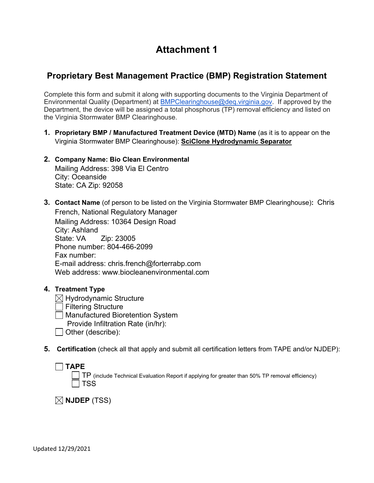# **Attachment 1**

## **Proprietary Best Management Practice (BMP) Registration Statement**

Complete this form and submit it along with supporting documents to the Virginia Department of Environmental Quality (Department) at [BMPClearinghouse@deq.virginia.gov.](mailto:BMPClearinghouse@deq.virginia.gov) If approved by the Department, the device will be assigned a total phosphorus (TP) removal efficiency and listed on the Virginia Stormwater BMP Clearinghouse.

- **1. Proprietary BMP / Manufactured Treatment Device (MTD) Name** (as it is to appear on the Virginia Stormwater BMP Clearinghouse): **SciClone Hydrodynamic Separator**
- **2. Company Name: Bio Clean Environmental** Mailing Address: 398 Via El Centro City: Oceanside State: CA Zip: 92058
- **3. Contact Name** (of person to be listed on the Virginia Stormwater BMP Clearinghouse)**:** Chris French, National Regulatory Manager Mailing Address: 10364 Design Road City: Ashland State: VA Zip: 23005 Phone number: 804-466-2099 Fax number: E-mail address: chris.french@forterrabp.com Web address: www.biocleanenvironmental.com
- **4. Treatment Type**
	- $\boxtimes$  Hydrodynamic Structure
	- Filtering Structure
	- Manufactured Bioretention System
		- Provide Infiltration Rate (in/hr):
	- $\Box$  Other (describe):
- **5. Certification** (check all that apply and submit all certification letters from TAPE and/or NJDEP):

| $\Box$ TAPE |                                                                                                 |
|-------------|-------------------------------------------------------------------------------------------------|
|             | TP (include Technical Evaluation Report if applying for greater than 50% TP removal efficiency) |
|             | $\Box$ TSS                                                                                      |

 $\boxtimes$  NJDEP (TSS)